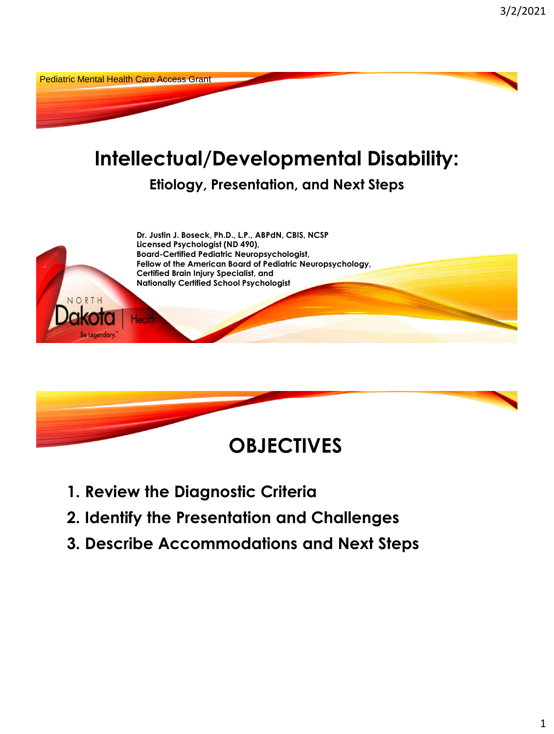



- **1. Review the Diagnostic Criteria**
- **2. Identify the Presentation and Challenges**
- **3. Describe Accommodations and Next Steps**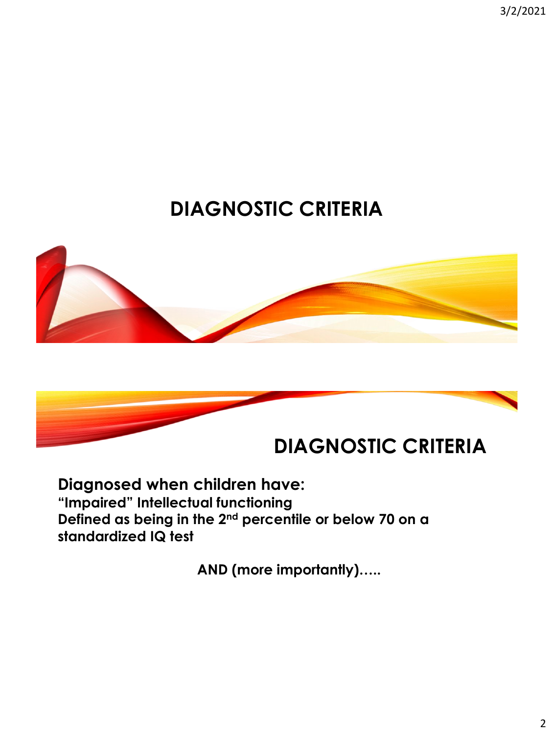3/2/2021

# **DIAGNOSTIC CRITERIA**





#### **Diagnosed when children have: "Impaired" Intellectual functioning Defined as being in the 2nd percentile or below 70 on a standardized IQ test**

**AND (more importantly)…..**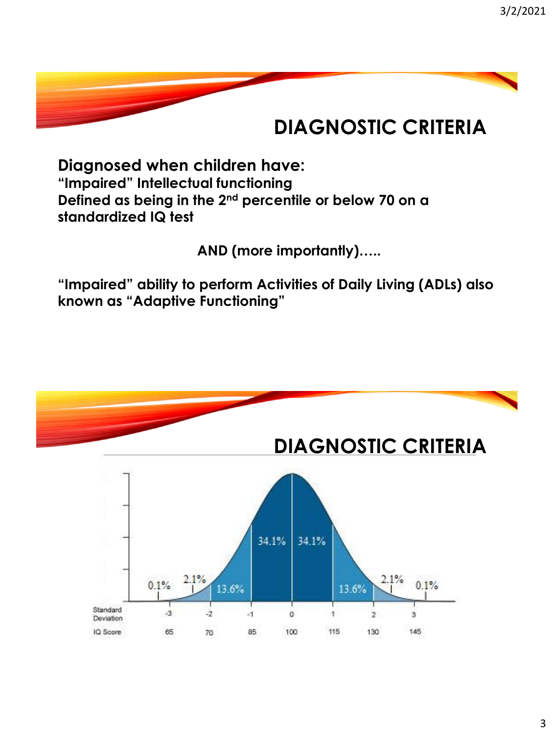## **DIAGNOSTIC CRITERIA**

**Diagnosed when children have: "Impaired" Intellectual functioning Defined as being in the 2nd percentile or below 70 on a standardized IQ test**

**AND (more importantly)…..**

**"Impaired" ability to perform Activities of Daily Living (ADLs) also known as "Adaptive Functioning"**

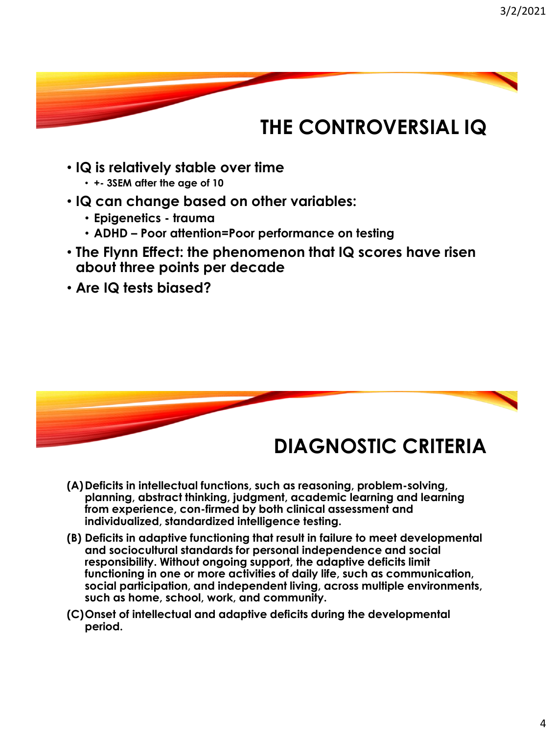## **THE CONTROVERSIAL IQ**

- **IQ is relatively stable over time** 
	- **+- 3SEM after the age of 10**
- **IQ can change based on other variables:**
	- **Epigenetics - trauma**
	- **ADHD – Poor attention=Poor performance on testing**
- **The Flynn Effect: the phenomenon that IQ scores have risen about three points per decade**
- **Are IQ tests biased?**



## **DIAGNOSTIC CRITERIA**

- **(A)Deficits in intellectual functions, such as reasoning, problem-solving, planning, abstract thinking, judgment, academic learning and learning from experience, con-firmed by both clinical assessment and individualized, standardized intelligence testing.**
- **(B) Deficits in adaptive functioning that result in failure to meet developmental and sociocultural standards for personal independence and social responsibility. Without ongoing support, the adaptive deficits limit functioning in one or more activities of daily life, such as communication, social participation, and independent living, across multiple environments, such as home, school, work, and community.**
- **(C)Onset of intellectual and adaptive deficits during the developmental period.**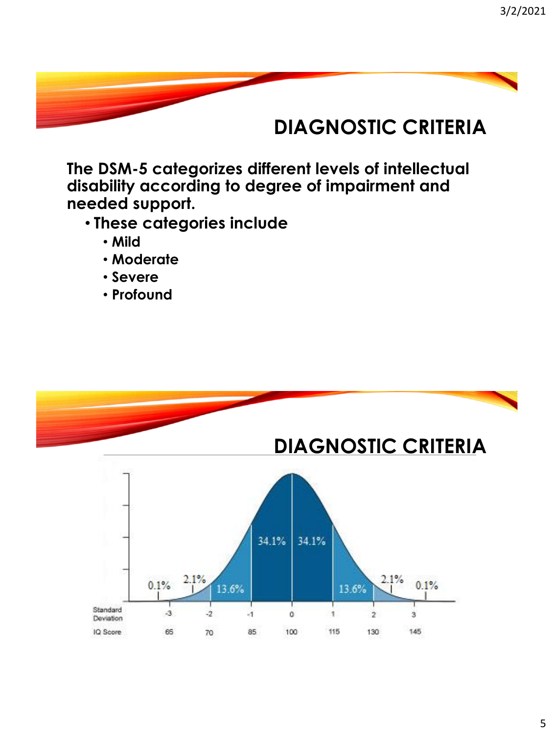## **DIAGNOSTIC CRITERIA**

**The DSM-5 categorizes different levels of intellectual disability according to degree of impairment and needed support.** 

- **These categories include** 
	- **Mild**
	- **Moderate**
	- **Severe**
	- **Profound**

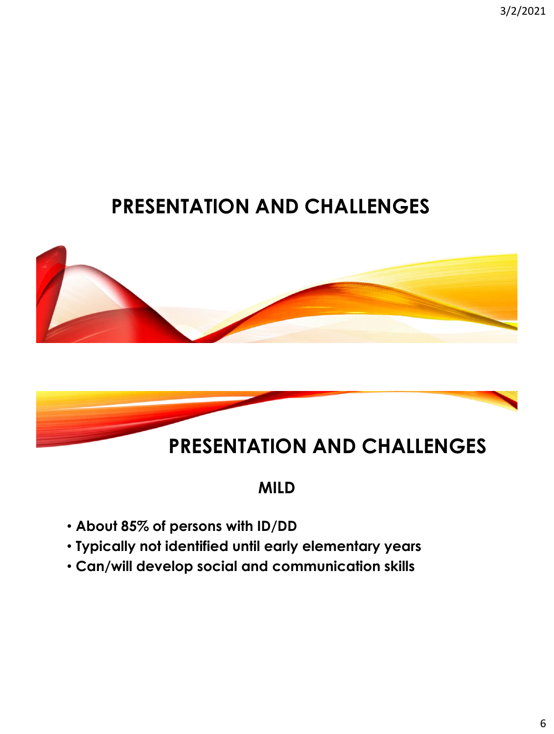3/2/2021

## **PRESENTATION AND CHALLENGES**





## **MILD**

- **About 85% of persons with ID/DD**
- **Typically not identified until early elementary years**
- **Can/will develop social and communication skills**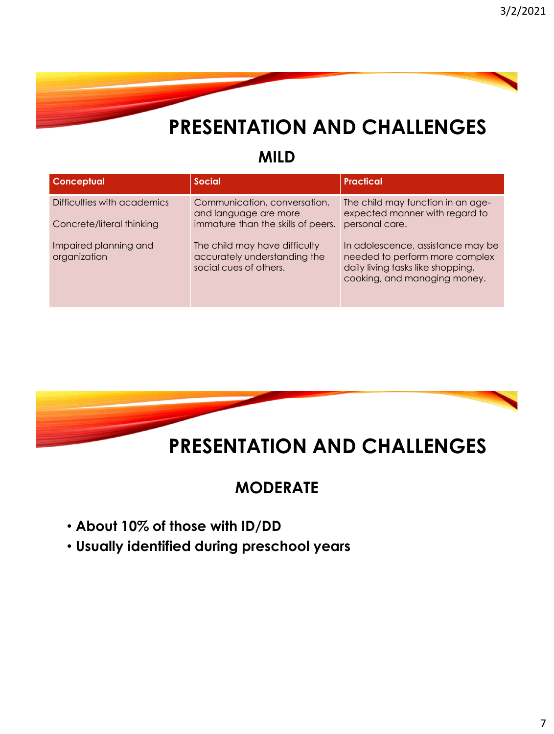

#### **MILD**

| <b>Conceptual</b>                                        | <b>Social</b>                                                                               | <b>Practical</b>                                                                                                                         |
|----------------------------------------------------------|---------------------------------------------------------------------------------------------|------------------------------------------------------------------------------------------------------------------------------------------|
| Difficulties with academics<br>Concrete/literal thinking | Communication, conversation,<br>and language are more<br>immature than the skills of peers. | The child may function in an age-<br>expected manner with regard to<br>personal care.                                                    |
| Impaired planning and<br>organization                    | The child may have difficulty<br>accurately understanding the<br>social cues of others.     | In adolescence, assistance may be<br>needed to perform more complex<br>daily living tasks like shopping,<br>cooking, and managing money. |



## **MODERATE**

- **About 10% of those with ID/DD**
- **Usually identified during preschool years**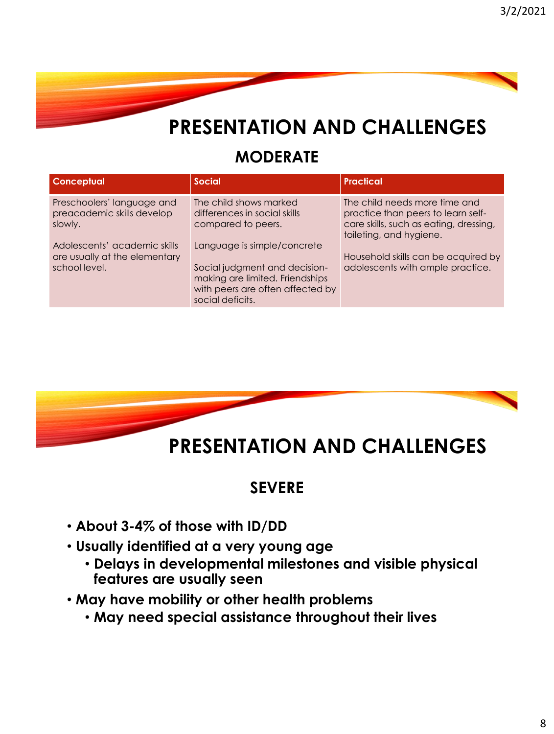

### **MODERATE**

| <b>Conceptual</b>                                                                                                                                     | <b>Social</b>                                                                                                                                                                                                       | <b>Practical</b>                                                                                                                                                                                                    |
|-------------------------------------------------------------------------------------------------------------------------------------------------------|---------------------------------------------------------------------------------------------------------------------------------------------------------------------------------------------------------------------|---------------------------------------------------------------------------------------------------------------------------------------------------------------------------------------------------------------------|
| Preschoolers' language and<br>preacademic skills develop<br>slowly.<br>Adolescents' academic skills<br>are usually at the elementary<br>school level. | The child shows marked<br>differences in social skills<br>compared to peers.<br>Language is simple/concrete<br>Social judgment and decision-<br>making are limited. Friendships<br>with peers are often affected by | The child needs more time and<br>practice than peers to learn self-<br>care skills, such as eating, dressing,<br>toileting, and hygiene.<br>Household skills can be acquired by<br>adolescents with ample practice. |
|                                                                                                                                                       | social deficits.                                                                                                                                                                                                    |                                                                                                                                                                                                                     |



# **PRESENTATION AND CHALLENGES**

### **SEVERE**

- **About 3-4% of those with ID/DD**
- **Usually identified at a very young age**
	- **Delays in developmental milestones and visible physical features are usually seen**
- **May have mobility or other health problems** 
	- **May need special assistance throughout their lives**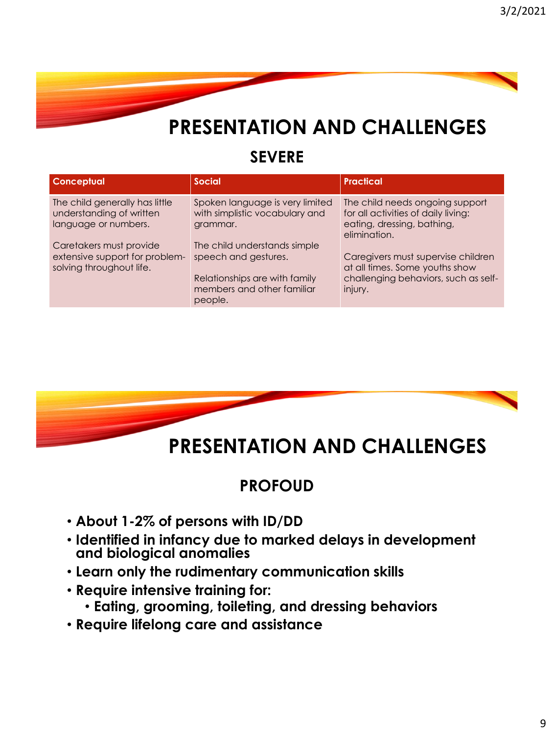

### **SEVERE**

| <b>Conceptual</b>                                                                     | <b>Social</b>                                                                                                                  | <b>Practical</b>                                                                                                        |
|---------------------------------------------------------------------------------------|--------------------------------------------------------------------------------------------------------------------------------|-------------------------------------------------------------------------------------------------------------------------|
| The child generally has little<br>understanding of written<br>language or numbers.    | Spoken language is very limited<br>with simplistic vocabulary and<br>grammar.                                                  | The child needs ongoing support<br>for all activities of daily living:<br>eating, dressing, bathing,<br>elimination.    |
| Caretakers must provide<br>extensive support for problem-<br>solving throughout life. | The child understands simple<br>speech and gestures.<br>Relationships are with family<br>members and other familiar<br>people. | Caregivers must supervise children<br>at all times. Some youths show<br>challenging behaviors, such as self-<br>injury. |



# **PRESENTATION AND CHALLENGES**

## **PROFOUD**

- **About 1-2% of persons with ID/DD**
- **Identified in infancy due to marked delays in development and biological anomalies**
- **Learn only the rudimentary communication skills**
- **Require intensive training for:**
	- **Eating, grooming, toileting, and dressing behaviors**
- **Require lifelong care and assistance**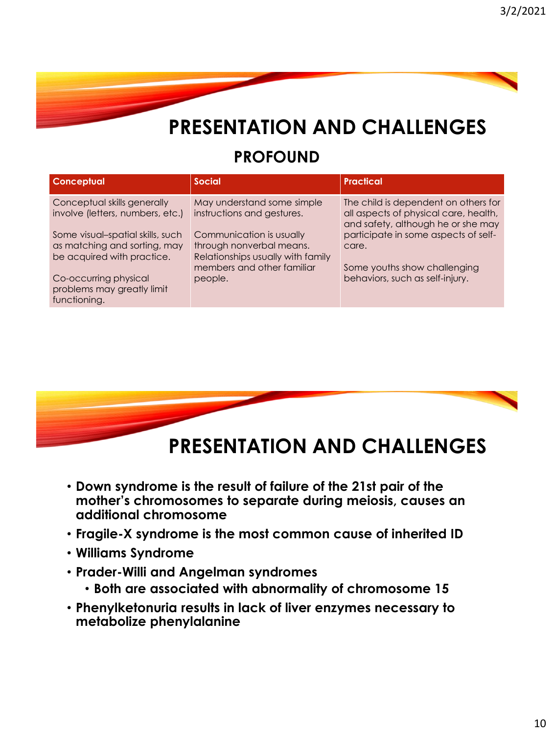## **PROFOUND**

| <b>Conceptual</b>                                                                                                                                                                                                        | <b>Social</b>                                                                                                                                                                                  | <b>Practical</b>                                                                                                                                                                                                                        |
|--------------------------------------------------------------------------------------------------------------------------------------------------------------------------------------------------------------------------|------------------------------------------------------------------------------------------------------------------------------------------------------------------------------------------------|-----------------------------------------------------------------------------------------------------------------------------------------------------------------------------------------------------------------------------------------|
| Conceptual skills generally<br>involve (letters, numbers, etc.)<br>Some visual-spatial skills, such<br>as matching and sorting, may<br>be acquired with practice.<br>Co-occurring physical<br>problems may greatly limit | May understand some simple<br>instructions and gestures.<br>Communication is usually<br>through nonverbal means.<br>Relationships usually with family<br>members and other familiar<br>people. | The child is dependent on others for<br>all aspects of physical care, health,<br>and safety, although he or she may<br>participate in some aspects of self-<br>care.<br>Some youths show challenging<br>behaviors, such as self-injury. |
| functioning.                                                                                                                                                                                                             |                                                                                                                                                                                                |                                                                                                                                                                                                                                         |



## **PRESENTATION AND CHALLENGES**

- **Down syndrome is the result of failure of the 21st pair of the mother's chromosomes to separate during meiosis, causes an additional chromosome**
- **Fragile-X syndrome is the most common cause of inherited ID**
- **Williams Syndrome**
- **Prader-Willi and Angelman syndromes**
	- **Both are associated with abnormality of chromosome 15**
- **Phenylketonuria results in lack of liver enzymes necessary to metabolize phenylalanine**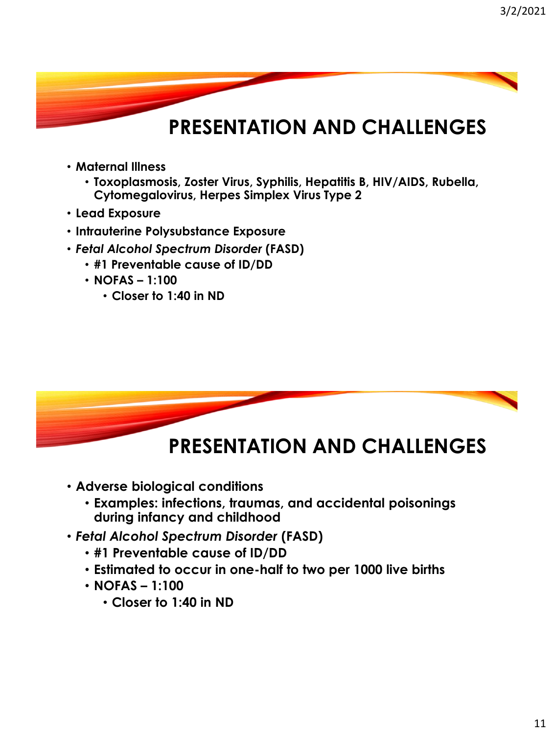- **Maternal Illness**
	- **Toxoplasmosis, Zoster Virus, Syphilis, Hepatitis B, HIV/AIDS, Rubella, Cytomegalovirus, Herpes Simplex Virus Type 2**
- **Lead Exposure**
- **Intrauterine Polysubstance Exposure**
- *Fetal Alcohol Spectrum Disorder* **(FASD)**
	- **#1 Preventable cause of ID/DD**
	- **NOFAS – 1:100**
		- **Closer to 1:40 in ND**



- **Adverse biological conditions**
	- **Examples: infections, traumas, and accidental poisonings during infancy and childhood**
- *Fetal Alcohol Spectrum Disorder* **(FASD)**
	- **#1 Preventable cause of ID/DD**
	- **Estimated to occur in one-half to two per 1000 live births**
	- **NOFAS – 1:100**
		- **Closer to 1:40 in ND**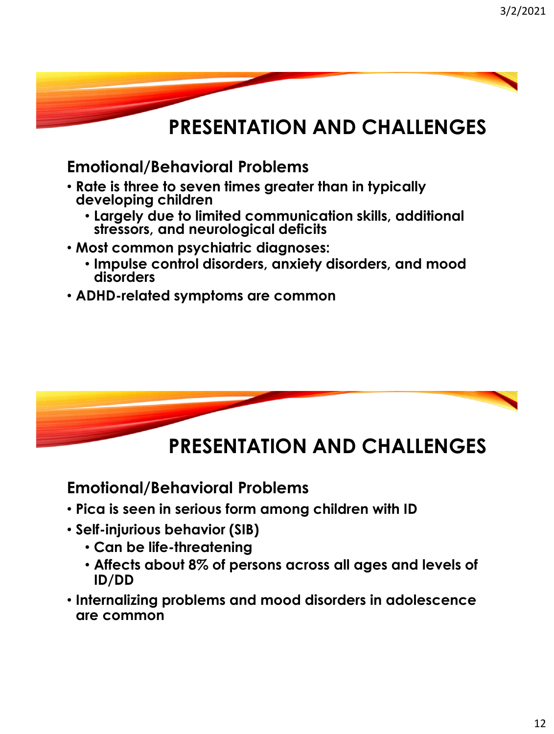**Emotional/Behavioral Problems**

- **Rate is three to seven times greater than in typically developing children**
	- **Largely due to limited communication skills, additional stressors, and neurological deficits**
- **Most common psychiatric diagnoses:**
	- **Impulse control disorders, anxiety disorders, and mood disorders**
- **ADHD-related symptoms are common**



## **PRESENTATION AND CHALLENGES**

**Emotional/Behavioral Problems**

- **Pica is seen in serious form among children with ID**
- **Self-injurious behavior (SIB)**
	- **Can be life-threatening**
	- **Affects about 8% of persons across all ages and levels of ID/DD**
- **Internalizing problems and mood disorders in adolescence are common**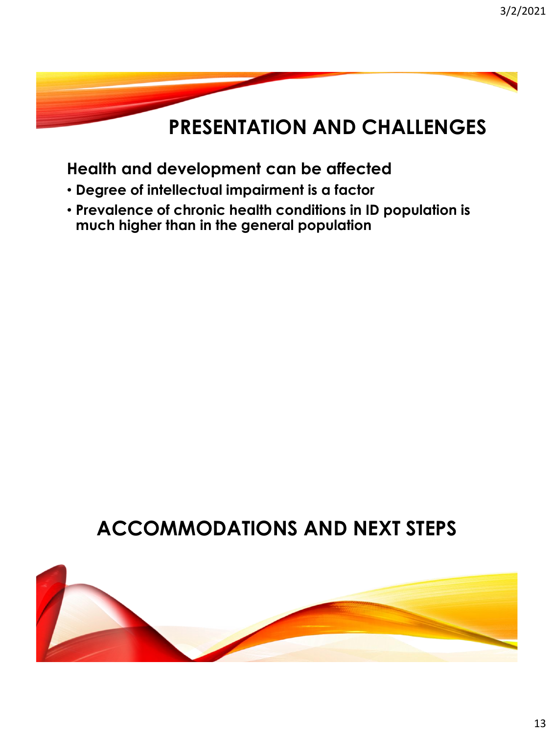## **Health and development can be affected**

- **Degree of intellectual impairment is a factor**
- **Prevalence of chronic health conditions in ID population is much higher than in the general population**

## **ACCOMMODATIONS AND NEXT STEPS**

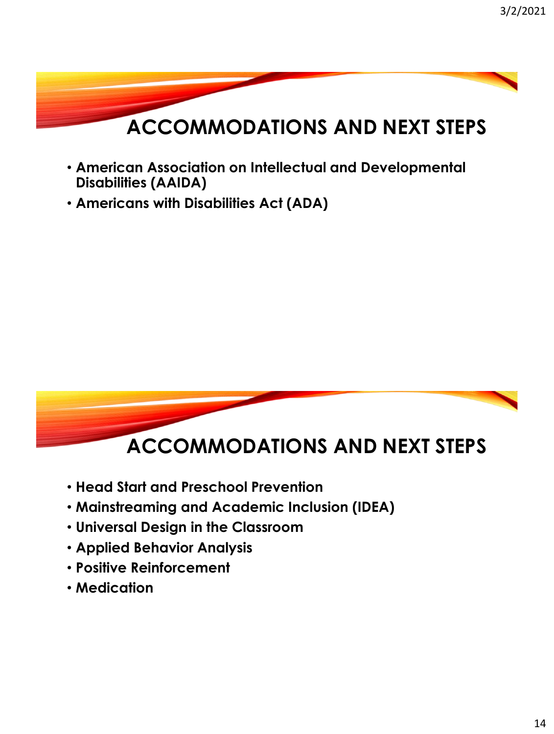

- **American Association on Intellectual and Developmental Disabilities (AAIDA)**
- **Americans with Disabilities Act (ADA)**



- **Head Start and Preschool Prevention**
- **Mainstreaming and Academic Inclusion (IDEA)**
- **Universal Design in the Classroom**
- **Applied Behavior Analysis**
- **Positive Reinforcement**
- **Medication**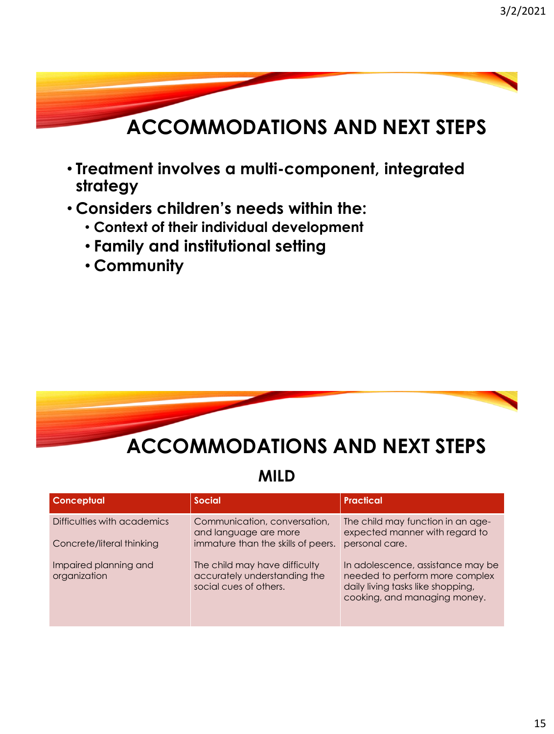# **ACCOMMODATIONS AND NEXT STEPS**

- **Treatment involves a multi-component, integrated strategy**
- **Considers children's needs within the:**
	- **Context of their individual development**
	- **Family and institutional setting**
	- **Community**



**MILD**

| <b>Conceptual</b>                     | <b>Social</b>                                                                           | Practical                                                                                                                                |
|---------------------------------------|-----------------------------------------------------------------------------------------|------------------------------------------------------------------------------------------------------------------------------------------|
| Difficulties with academics           | Communication, conversation,<br>and language are more                                   | The child may function in an age-<br>expected manner with regard to                                                                      |
| Concrete/literal thinking             | immature than the skills of peers.                                                      | personal care.                                                                                                                           |
| Impaired planning and<br>organization | The child may have difficulty<br>accurately understanding the<br>social cues of others. | In adolescence, assistance may be<br>needed to perform more complex<br>daily living tasks like shopping,<br>cooking, and managing money. |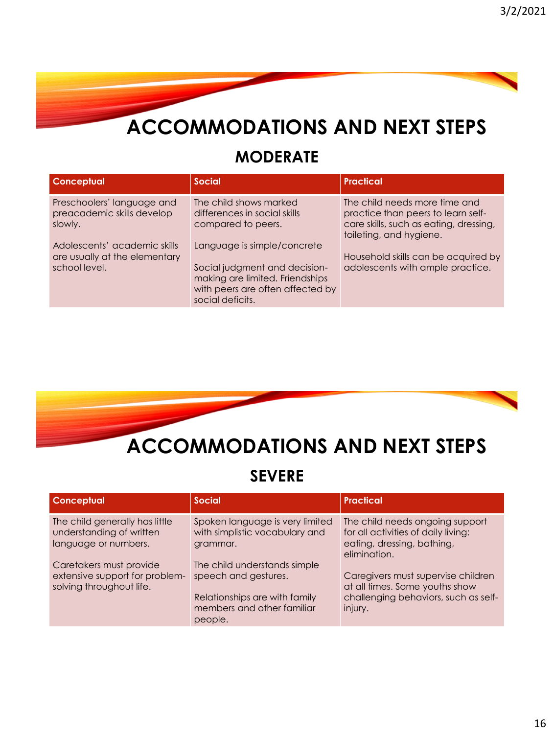## **ACCOMMODATIONS AND NEXT STEPS**

### **MODERATE**

| <b>Conceptual</b>                                                              | <b>Social</b>                                                                                                                                           | <b>Practical</b>                                                                                                                         |
|--------------------------------------------------------------------------------|---------------------------------------------------------------------------------------------------------------------------------------------------------|------------------------------------------------------------------------------------------------------------------------------------------|
| Preschoolers' language and<br>preacademic skills develop<br>slowly.            | The child shows marked<br>differences in social skills<br>compared to peers.                                                                            | The child needs more time and<br>practice than peers to learn self-<br>care skills, such as eating, dressing,<br>toileting, and hygiene. |
| Adolescents' academic skills<br>are usually at the elementary<br>school level. | Language is simple/concrete<br>Social judgment and decision-<br>making are limited. Friendships<br>with peers are often affected by<br>social deficits. | Household skills can be acquired by<br>adolescents with ample practice.                                                                  |



### **SEVERE**

| <b>Conceptual</b>                                                                     | <b>Social</b>                                                                                                                  | <b>Practical</b>                                                                                                        |
|---------------------------------------------------------------------------------------|--------------------------------------------------------------------------------------------------------------------------------|-------------------------------------------------------------------------------------------------------------------------|
| The child generally has little<br>understanding of written<br>language or numbers.    | Spoken language is very limited<br>with simplistic vocabulary and<br>grammar.                                                  | The child needs ongoing support<br>for all activities of daily living:<br>eating, dressing, bathing,<br>elimination.    |
| Caretakers must provide<br>extensive support for problem-<br>solving throughout life. | The child understands simple<br>speech and gestures.<br>Relationships are with family<br>members and other familiar<br>people. | Caregivers must supervise children<br>at all times. Some youths show<br>challenging behaviors, such as self-<br>injury. |